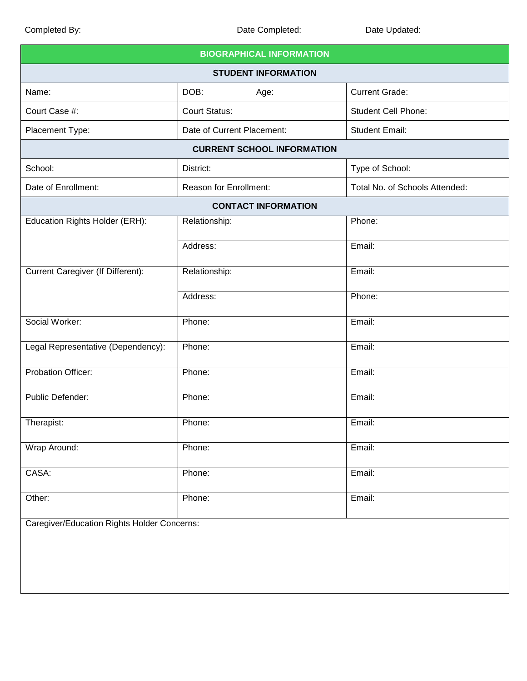| <b>BIOGRAPHICAL INFORMATION</b>             |                            |                                |  |  |
|---------------------------------------------|----------------------------|--------------------------------|--|--|
| <b>STUDENT INFORMATION</b>                  |                            |                                |  |  |
| Name:                                       | DOB:<br>Age:               | <b>Current Grade:</b>          |  |  |
| Court Case #:                               | <b>Court Status:</b>       | <b>Student Cell Phone:</b>     |  |  |
| Placement Type:                             | Date of Current Placement: | <b>Student Email:</b>          |  |  |
| <b>CURRENT SCHOOL INFORMATION</b>           |                            |                                |  |  |
| School:                                     | District:                  | Type of School:                |  |  |
| Date of Enrollment:                         | Reason for Enrollment:     | Total No. of Schools Attended: |  |  |
| <b>CONTACT INFORMATION</b>                  |                            |                                |  |  |
| Education Rights Holder (ERH):              | Relationship:              | Phone:                         |  |  |
|                                             | Address:                   | Email:                         |  |  |
| Current Caregiver (If Different):           | Relationship:              | Email:                         |  |  |
|                                             | Address:                   | Phone:                         |  |  |
| Social Worker:                              | Phone:                     | Email:                         |  |  |
| Legal Representative (Dependency):          | Phone:                     | Email:                         |  |  |
| <b>Probation Officer:</b>                   | Phone:                     | Email:                         |  |  |
| Public Defender:                            | Phone:                     | Email:                         |  |  |
| Therapist:                                  | Phone:                     | Email:                         |  |  |
| Wrap Around:                                | Phone:                     | Email:                         |  |  |
| CASA:                                       | Phone:                     | Email:                         |  |  |
| Other:                                      | Phone:                     | Email:                         |  |  |
| Caregiver/Education Rights Holder Concerns: |                            |                                |  |  |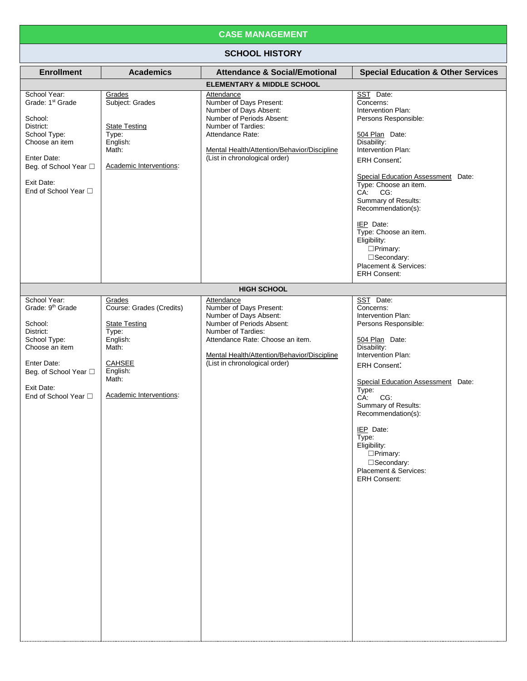## **CASE MANAGEMENT**

## **SCHOOL HISTORY**

| <b>Enrollment</b>                                                                                                                                                                    | <b>Academics</b>                                                                                                                                          | <b>Attendance &amp; Social/Emotional</b>                                                                                                                                                                                               | <b>Special Education &amp; Other Services</b>                                                                                                                                                                                                                                                                                                                                                               |
|--------------------------------------------------------------------------------------------------------------------------------------------------------------------------------------|-----------------------------------------------------------------------------------------------------------------------------------------------------------|----------------------------------------------------------------------------------------------------------------------------------------------------------------------------------------------------------------------------------------|-------------------------------------------------------------------------------------------------------------------------------------------------------------------------------------------------------------------------------------------------------------------------------------------------------------------------------------------------------------------------------------------------------------|
|                                                                                                                                                                                      |                                                                                                                                                           | <b>ELEMENTARY &amp; MIDDLE SCHOOL</b>                                                                                                                                                                                                  |                                                                                                                                                                                                                                                                                                                                                                                                             |
| School Year:<br>Grade: 1 <sup>st</sup> Grade<br>School:<br>District:<br>School Type:<br>Choose an item<br>Enter Date:<br>Beg. of School Year □<br>Exit Date:<br>End of School Year □ | Grades<br>Subject: Grades<br><b>State Testing</b><br>Type:<br>English:<br>Math:<br>Academic Interventions:                                                | Attendance<br>Number of Days Present:<br>Number of Days Absent:<br>Number of Periods Absent:<br>Number of Tardies:<br>Attendance Rate:<br>Mental Health/Attention/Behavior/Discipline<br>(List in chronological order)                 | SST Date:<br>Concerns:<br>Intervention Plan:<br>Persons Responsible:<br>504 Plan Date:<br>Disability:<br>Intervention Plan:<br><b>ERH Consent:</b><br>Special Education Assessment Date:<br>Type: Choose an item.<br>CA: CG:<br>Summary of Results:<br>Recommendation(s):<br>IEP Date:<br>Type: Choose an item.<br>Eligibility:<br>□Primary:<br>□Secondary:<br>Placement & Services:<br><b>ERH Consent:</b> |
|                                                                                                                                                                                      |                                                                                                                                                           | <b>HIGH SCHOOL</b>                                                                                                                                                                                                                     |                                                                                                                                                                                                                                                                                                                                                                                                             |
| School Year:<br>Grade: 9 <sup>th</sup> Grade<br>School:<br>District:<br>School Type:<br>Choose an item<br>Enter Date:<br>Beg. of School Year □<br>Exit Date:<br>End of School Year □ | Grades<br>Course: Grades (Credits)<br><b>State Testing</b><br>Type:<br>English:<br>Math:<br><b>CAHSEE</b><br>English:<br>Math:<br>Academic Interventions: | Attendance<br>Number of Days Present:<br>Number of Days Absent:<br>Number of Periods Absent:<br>Number of Tardies:<br>Attendance Rate: Choose an item.<br>Mental Health/Attention/Behavior/Discipline<br>(List in chronological order) | SST Date:<br>Concerns:<br>Intervention Plan:<br>Persons Responsible:<br>504 Plan Date:<br>Disability:<br>Intervention Plan:<br><b>ERH Consent:</b><br>Special Education Assessment Date:<br>Type:<br>CA:<br>CG:<br>Summary of Results:<br>Recommendation(s):<br>IEP Date:<br>Type:<br>Eligibility:<br>□Primary:<br>□Secondary:<br>Placement & Services:<br><b>ERH Consent:</b>                              |